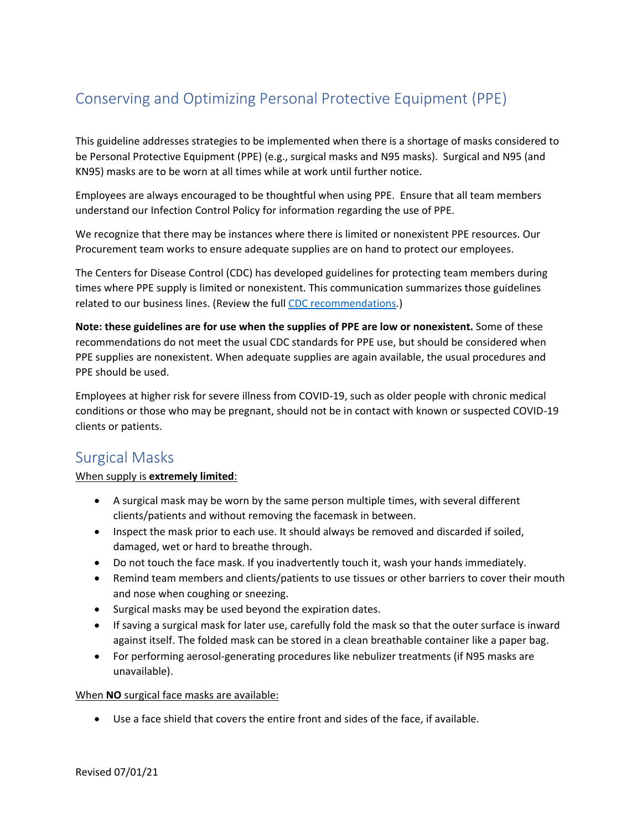# Conserving and Optimizing Personal Protective Equipment (PPE)

This guideline addresses strategies to be implemented when there is a shortage of masks considered to be Personal Protective Equipment (PPE) (e.g., surgical masks and N95 masks). Surgical and N95 (and KN95) masks are to be worn at all times while at work until further notice.

Employees are always encouraged to be thoughtful when using PPE. Ensure that all team members understand our Infection Control Policy for information regarding the use of PPE.

We recognize that there may be instances where there is limited or nonexistent PPE resources. Our Procurement team works to ensure adequate supplies are on hand to protect our employees.

The Centers for Disease Control (CDC) has developed guidelines for protecting team members during times where PPE supply is limited or nonexistent. This communication summarizes those guidelines related to our business lines. (Review the full [CDC recommendations.](https://www.cdc.gov/coronavirus/2019-ncov/hcp/ppe-strategy/index.html))

**Note: these guidelines are for use when the supplies of PPE are low or nonexistent.** Some of these recommendations do not meet the usual CDC standards for PPE use, but should be considered when PPE supplies are nonexistent. When adequate supplies are again available, the usual procedures and PPE should be used.

Employees at higher risk for severe illness from COVID-19, such as older people with chronic medical conditions or those who may be pregnant, should not be in contact with known or suspected COVID-19 clients or patients.

### Surgical Masks

#### When supply is **extremely limited**:

- A surgical mask may be worn by the same person multiple times, with several different clients/patients and without removing the facemask in between.
- Inspect the mask prior to each use. It should always be removed and discarded if soiled, damaged, wet or hard to breathe through.
- Do not touch the face mask. If you inadvertently touch it, wash your hands immediately.
- Remind team members and clients/patients to use tissues or other barriers to cover their mouth and nose when coughing or sneezing.
- Surgical masks may be used beyond the expiration dates.
- If saving a surgical mask for later use, carefully fold the mask so that the outer surface is inward against itself. The folded mask can be stored in a clean breathable container like a paper bag.
- For performing aerosol-generating procedures like nebulizer treatments (if N95 masks are unavailable).

#### When **NO** surgical face masks are available:

• Use a face shield that covers the entire front and sides of the face, if available.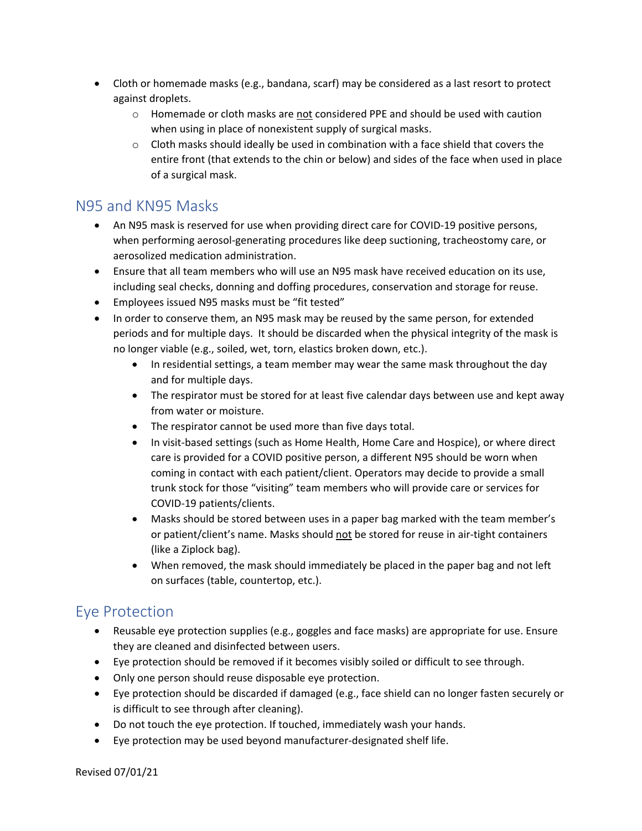- Cloth or homemade masks (e.g., bandana, scarf) may be considered as a last resort to protect against droplets.
	- $\circ$  Homemade or cloth masks are not considered PPE and should be used with caution when using in place of nonexistent supply of surgical masks.
	- $\circ$  Cloth masks should ideally be used in combination with a face shield that covers the entire front (that extends to the chin or below) and sides of the face when used in place of a surgical mask.

### N95 and KN95 Masks

- An N95 mask is reserved for use when providing direct care for COVID-19 positive persons, when performing aerosol-generating procedures like deep suctioning, tracheostomy care, or aerosolized medication administration.
- Ensure that all team members who will use an N95 mask have received education on its use, including seal checks, donning and doffing procedures, conservation and storage for reuse.
- Employees issued N95 masks must be "fit tested"
- In order to conserve them, an N95 mask may be reused by the same person, for extended periods and for multiple days. It should be discarded when the physical integrity of the mask is no longer viable (e.g., soiled, wet, torn, elastics broken down, etc.).
	- In residential settings, a team member may wear the same mask throughout the day and for multiple days.
	- The respirator must be stored for at least five calendar days between use and kept away from water or moisture.
	- The respirator cannot be used more than five days total.
	- In visit-based settings (such as Home Health, Home Care and Hospice), or where direct care is provided for a COVID positive person, a different N95 should be worn when coming in contact with each patient/client. Operators may decide to provide a small trunk stock for those "visiting" team members who will provide care or services for COVID-19 patients/clients.
	- Masks should be stored between uses in a paper bag marked with the team member's or patient/client's name. Masks should not be stored for reuse in air-tight containers (like a Ziplock bag).
	- When removed, the mask should immediately be placed in the paper bag and not left on surfaces (table, countertop, etc.).

## Eye Protection

- Reusable eye protection supplies (e.g., goggles and face masks) are appropriate for use. Ensure they are cleaned and disinfected between users.
- Eye protection should be removed if it becomes visibly soiled or difficult to see through.
- Only one person should reuse disposable eye protection.
- Eye protection should be discarded if damaged (e.g., face shield can no longer fasten securely or is difficult to see through after cleaning).
- Do not touch the eye protection. If touched, immediately wash your hands.
- Eye protection may be used beyond manufacturer-designated shelf life.